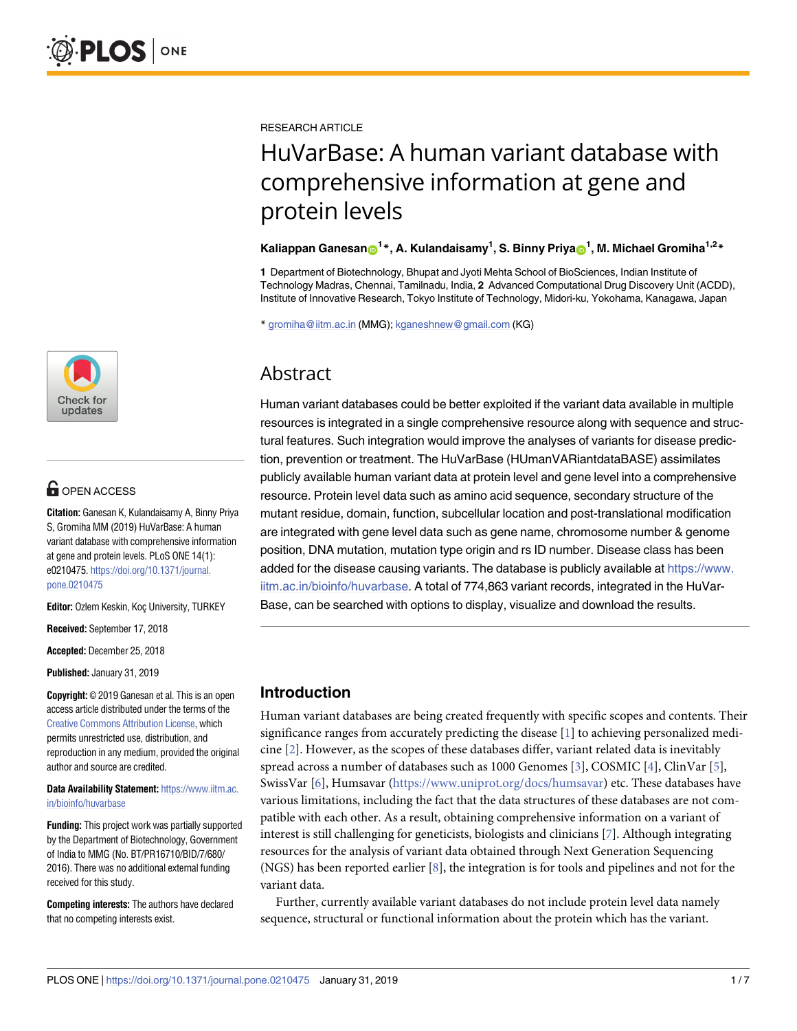

# **OPEN ACCESS**

**Citation:** Ganesan K, Kulandaisamy A, Binny Priya S, Gromiha MM (2019) HuVarBase: A human variant database with comprehensive information at gene and protein levels. PLoS ONE 14(1): e0210475. [https://doi.org/10.1371/journal.](https://doi.org/10.1371/journal.pone.0210475) [pone.0210475](https://doi.org/10.1371/journal.pone.0210475)

**Editor:** Ozlem Keskin, Koç University, TURKEY

**Received:** September 17, 2018

**Accepted:** December 25, 2018

**Published:** January 31, 2019

**Copyright:** © 2019 Ganesan et al. This is an open access article distributed under the terms of the Creative Commons [Attribution](http://creativecommons.org/licenses/by/4.0/) License, which permits unrestricted use, distribution, and reproduction in any medium, provided the original author and source are credited.

**Data Availability Statement:** [https://www.iitm.ac.](https://www.iitm.ac.in/bioinfo/huvarbase) [in/bioinfo/huvarbase](https://www.iitm.ac.in/bioinfo/huvarbase)

**Funding:** This project work was partially supported by the Department of Biotechnology, Government of India to MMG (No. BT/PR16710/BID/7/680/ 2016). There was no additional external funding received for this study.

**Competing interests:** The authors have declared that no competing interests exist.

<span id="page-0-0"></span>RESEARCH ARTICLE

# HuVarBase: A human variant database with comprehensive information at gene and protein levels

#### $\boldsymbol{\kappa}$  Kaliappan Ganesan $\boldsymbol{\Theta}^{1\,*}$ , A. Kulandaisamy<sup>1</sup>, S. Binny Priya $\boldsymbol{\Theta}^{1}$ , M. Michael Gromiha<sup>1,2</sup> $^{*}$

**1** Department of Biotechnology, Bhupat and Jyoti Mehta School of BioSciences, Indian Institute of Technology Madras, Chennai, Tamilnadu, India, **2** Advanced Computational Drug Discovery Unit (ACDD), Institute of Innovative Research, Tokyo Institute of Technology, Midori-ku, Yokohama, Kanagawa, Japan

\* gromiha@iitm.ac.in (MMG); kganeshnew@gmail.com (KG)

# Abstract

Human variant databases could be better exploited if the variant data available in multiple resources is integrated in a single comprehensive resource along with sequence and structural features. Such integration would improve the analyses of variants for disease prediction, prevention or treatment. The HuVarBase (HUmanVARiantdataBASE) assimilates publicly available human variant data at protein level and gene level into a comprehensive resource. Protein level data such as amino acid sequence, secondary structure of the mutant residue, domain, function, subcellular location and post-translational modification are integrated with gene level data such as gene name, chromosome number & genome position, DNA mutation, mutation type origin and rs ID number. Disease class has been added for the disease causing variants. The database is publicly available at [https://www.](https://www.iitm.ac.in/bioinfo/huvarbase) [iitm.ac.in/bioinfo/huvarbase.](https://www.iitm.ac.in/bioinfo/huvarbase) A total of 774,863 variant records, integrated in the HuVar-Base, can be searched with options to display, visualize and download the results.

# **Introduction**

Human variant databases are being created frequently with specific scopes and contents. Their significance ranges from accurately predicting the disease [[1\]](#page-5-0) to achieving personalized medicine [\[2\]](#page-5-0). However, as the scopes of these databases differ, variant related data is inevitably spread across a number of databases such as 1000 Genomes [[3\]](#page-5-0), COSMIC [[4\]](#page-5-0), ClinVar [\[5\]](#page-5-0), SwissVar [\[6\]](#page-5-0), Humsavar [\(https://www.uniprot.org/docs/humsavar\)](https://www.uniprot.org/docs/humsavar) etc. These databases have various limitations, including the fact that the data structures of these databases are not compatible with each other. As a result, obtaining comprehensive information on a variant of interest is still challenging for geneticists, biologists and clinicians [[7](#page-5-0)]. Although integrating resources for the analysis of variant data obtained through Next Generation Sequencing (NGS) has been reported earlier [[8](#page-5-0)], the integration is for tools and pipelines and not for the variant data.

Further, currently available variant databases do not include protein level data namely sequence, structural or functional information about the protein which has the variant.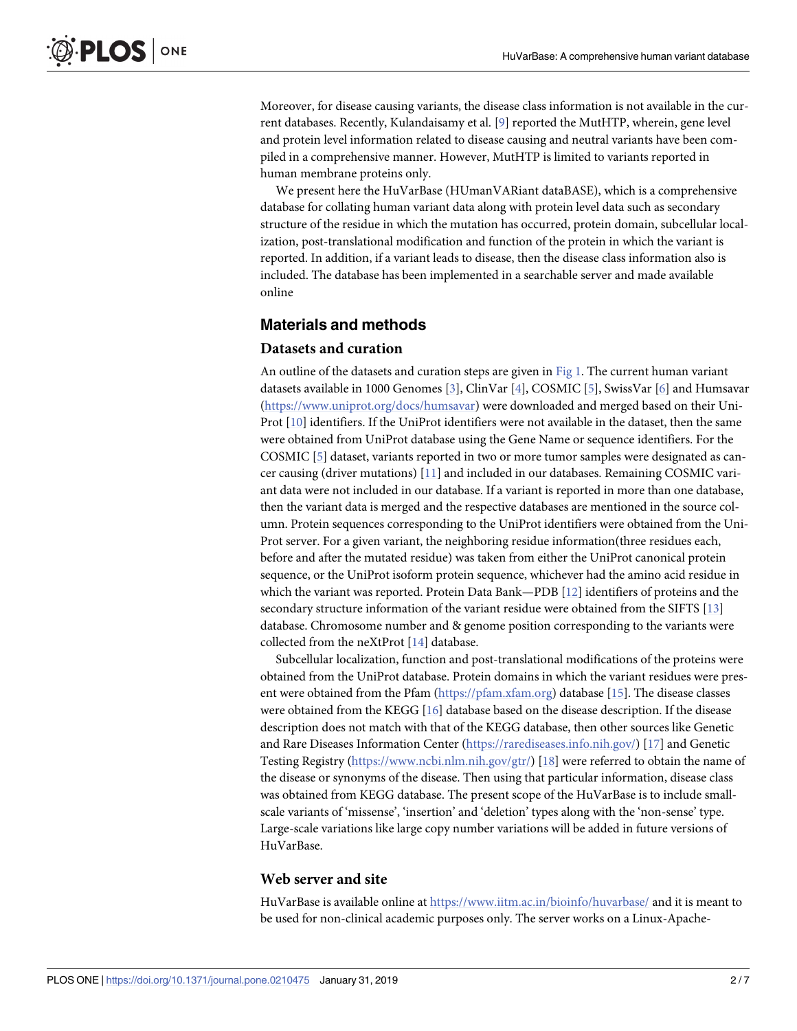<span id="page-1-0"></span>Moreover, for disease causing variants, the disease class information is not available in the current databases. Recently, Kulandaisamy et al. [\[9](#page-5-0)] reported the MutHTP, wherein, gene level and protein level information related to disease causing and neutral variants have been compiled in a comprehensive manner. However, MutHTP is limited to variants reported in human membrane proteins only.

We present here the HuVarBase (HUmanVARiant dataBASE), which is a comprehensive database for collating human variant data along with protein level data such as secondary structure of the residue in which the mutation has occurred, protein domain, subcellular localization, post-translational modification and function of the protein in which the variant is reported. In addition, if a variant leads to disease, then the disease class information also is included. The database has been implemented in a searchable server and made available online

## **Materials and methods**

#### **Datasets and curation**

An outline of the datasets and curation steps are given in [Fig](#page-2-0) 1. The current human variant datasets available in 1000 Genomes [\[3](#page-5-0)], ClinVar [[4\]](#page-5-0), COSMIC [[5\]](#page-5-0), SwissVar [[6](#page-5-0)] and Humsavar [\(https://www.uniprot.org/docs/humsavar](https://www.uniprot.org/docs/humsavar)) were downloaded and merged based on their Uni-Prot [[10](#page-5-0)] identifiers. If the UniProt identifiers were not available in the dataset, then the same were obtained from UniProt database using the Gene Name or sequence identifiers. For the COSMIC [\[5](#page-5-0)] dataset, variants reported in two or more tumor samples were designated as cancer causing (driver mutations) [\[11\]](#page-5-0) and included in our databases. Remaining COSMIC variant data were not included in our database. If a variant is reported in more than one database, then the variant data is merged and the respective databases are mentioned in the source column. Protein sequences corresponding to the UniProt identifiers were obtained from the Uni-Prot server. For a given variant, the neighboring residue information(three residues each, before and after the mutated residue) was taken from either the UniProt canonical protein sequence, or the UniProt isoform protein sequence, whichever had the amino acid residue in which the variant was reported. Protein Data Bank—PDB [[12](#page-5-0)] identifiers of proteins and the secondary structure information of the variant residue were obtained from the SIFTS [\[13\]](#page-5-0) database. Chromosome number and & genome position corresponding to the variants were collected from the neXtProt [\[14\]](#page-5-0) database.

Subcellular localization, function and post-translational modifications of the proteins were obtained from the UniProt database. Protein domains in which the variant residues were present were obtained from the Pfam ([https://pfam.xfam.org](https://pfam.xfam.org/)) database [[15](#page-5-0)]. The disease classes were obtained from the KEGG [[16](#page-6-0)] database based on the disease description. If the disease description does not match with that of the KEGG database, then other sources like Genetic and Rare Diseases Information Center [\(https://rarediseases.info.nih.gov/\)](https://rarediseases.info.nih.gov/) [[17](#page-6-0)] and Genetic Testing Registry [\(https://www.ncbi.nlm.nih.gov/gtr/\)](https://www.ncbi.nlm.nih.gov/gtr/) [[18](#page-6-0)] were referred to obtain the name of the disease or synonyms of the disease. Then using that particular information, disease class was obtained from KEGG database. The present scope of the HuVarBase is to include smallscale variants of 'missense', 'insertion' and 'deletion' types along with the 'non-sense' type. Large-scale variations like large copy number variations will be added in future versions of HuVarBase.

#### **Web server and site**

HuVarBase is available online at <https://www.iitm.ac.in/bioinfo/huvarbase/> and it is meant to be used for non-clinical academic purposes only. The server works on a Linux-Apache-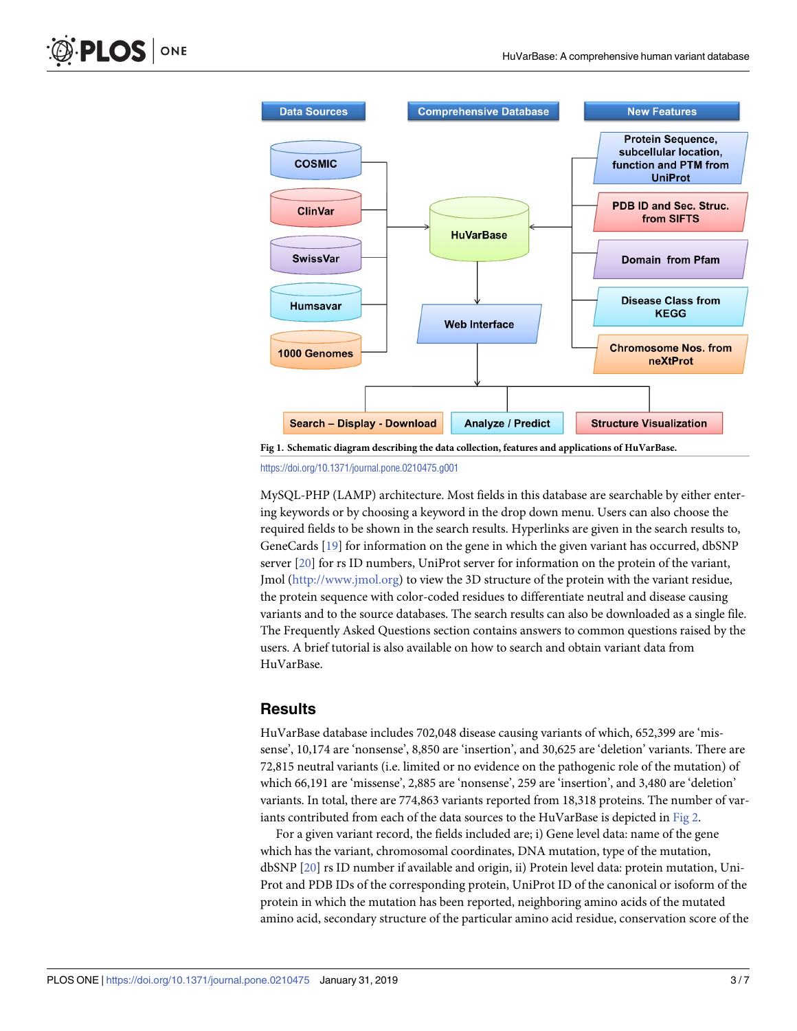<span id="page-2-0"></span>

**[Fig](#page-1-0) 1. Schematic diagram describing the data collection, features and applications of HuVarBase.** <https://doi.org/10.1371/journal.pone.0210475.g001>

MySQL-PHP (LAMP) architecture. Most fields in this database are searchable by either entering keywords or by choosing a keyword in the drop down menu. Users can also choose the required fields to be shown in the search results. Hyperlinks are given in the search results to, GeneCards [\[19\]](#page-6-0) for information on the gene in which the given variant has occurred, dbSNP server [[20](#page-6-0)] for rs ID numbers, UniProt server for information on the protein of the variant, Jmol ([http://www.jmol.org\)](http://www.jmol.org/) to view the 3D structure of the protein with the variant residue, the protein sequence with color-coded residues to differentiate neutral and disease causing variants and to the source databases. The search results can also be downloaded as a single file. The Frequently Asked Questions section contains answers to common questions raised by the users. A brief tutorial is also available on how to search and obtain variant data from HuVarBase.

#### **Results**

HuVarBase database includes 702,048 disease causing variants of which, 652,399 are 'missense', 10,174 are 'nonsense', 8,850 are 'insertion', and 30,625 are 'deletion' variants. There are 72,815 neutral variants (i.e. limited or no evidence on the pathogenic role of the mutation) of which 66,191 are 'missense', 2,885 are 'nonsense', 259 are 'insertion', and 3,480 are 'deletion' variants. In total, there are 774,863 variants reported from 18,318 proteins. The number of variants contributed from each of the data sources to the HuVarBase is depicted in [Fig](#page-3-0) 2.

For a given variant record, the fields included are; i) Gene level data: name of the gene which has the variant, chromosomal coordinates, DNA mutation, type of the mutation, dbSNP [[20](#page-6-0)] rs ID number if available and origin, ii) Protein level data: protein mutation, Uni-Prot and PDB IDs of the corresponding protein, UniProt ID of the canonical or isoform of the protein in which the mutation has been reported, neighboring amino acids of the mutated amino acid, secondary structure of the particular amino acid residue, conservation score of the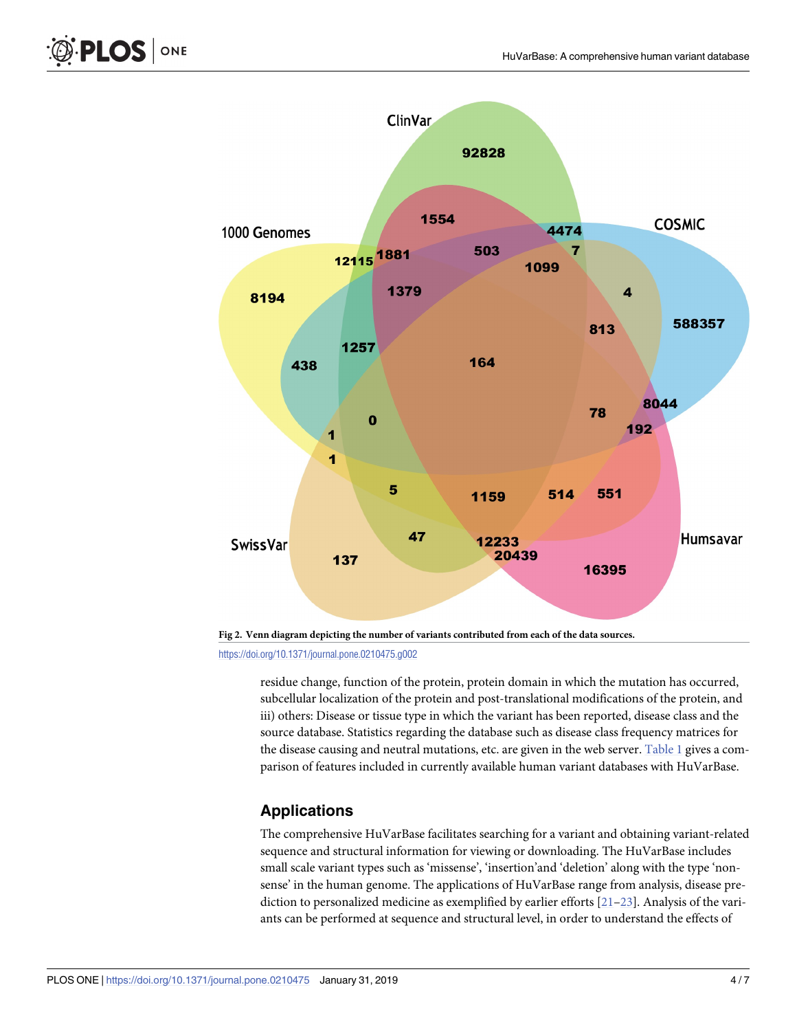



residue change, function of the protein, protein domain in which the mutation has occurred, subcellular localization of the protein and post-translational modifications of the protein, and iii) others: Disease or tissue type in which the variant has been reported, disease class and the source database. Statistics regarding the database such as disease class frequency matrices for the disease causing and neutral mutations, etc. are given in the web server. [Table](#page-4-0) 1 gives a comparison of features included in currently available human variant databases with HuVarBase.

# **Applications**

The comprehensive HuVarBase facilitates searching for a variant and obtaining variant-related sequence and structural information for viewing or downloading. The HuVarBase includes small scale variant types such as 'missense', 'insertion'and 'deletion' along with the type 'nonsense' in the human genome. The applications of HuVarBase range from analysis, disease prediction to personalized medicine as exemplified by earlier efforts [\[21–23](#page-6-0)]. Analysis of the variants can be performed at sequence and structural level, in order to understand the effects of

<span id="page-3-0"></span>PLOS ONE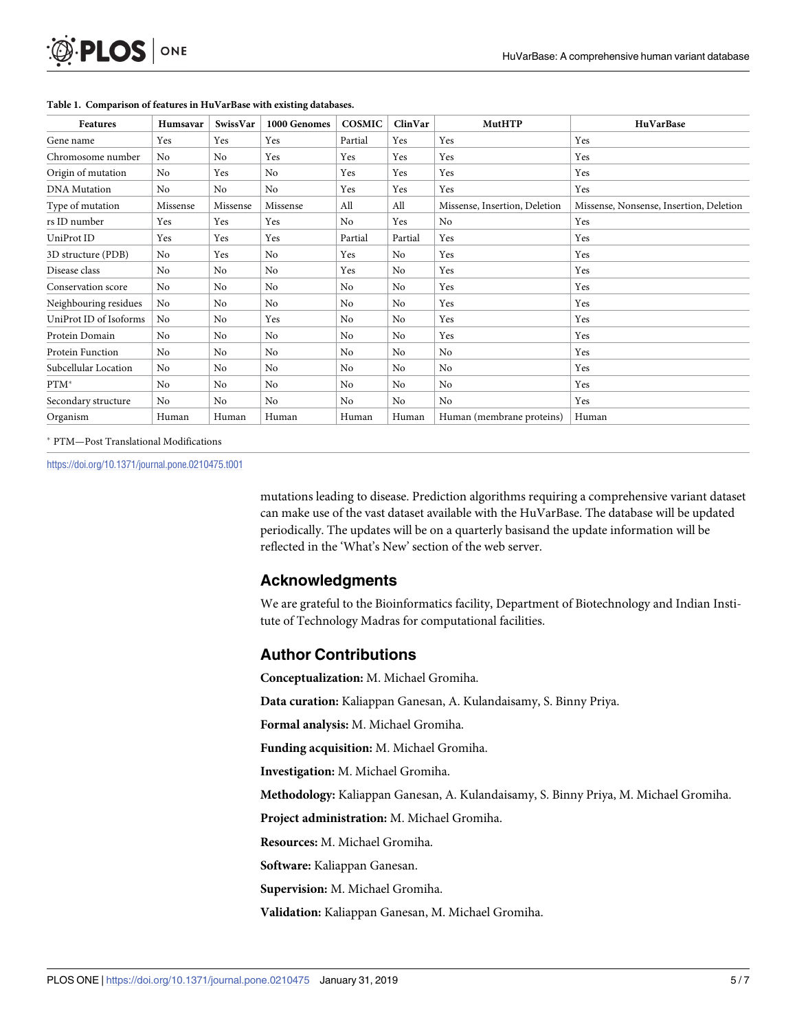<span id="page-4-0"></span>

| Features               | Humsavar       | SwissVar       | 1000 Genomes   | <b>COSMIC</b> | ClinVar | <b>MutHTP</b>                 | HuVarBase                               |
|------------------------|----------------|----------------|----------------|---------------|---------|-------------------------------|-----------------------------------------|
| Gene name              | Yes            | Yes            | Yes            | Partial       | Yes     | Yes                           | Yes                                     |
| Chromosome number      | N <sub>0</sub> | No             | Yes            | Yes           | Yes     | Yes                           | Yes                                     |
| Origin of mutation     | N <sub>0</sub> | Yes            | N <sub>0</sub> | Yes           | Yes     | Yes                           | Yes                                     |
| <b>DNA</b> Mutation    | No             | N <sub>0</sub> | No             | Yes           | Yes     | Yes                           | Yes                                     |
| Type of mutation       | Missense       | Missense       | Missense       | All           | All     | Missense, Insertion, Deletion | Missense, Nonsense, Insertion, Deletion |
| rs ID number           | Yes            | Yes            | Yes            | No            | Yes     | No                            | Yes                                     |
| UniProt ID             | Yes            | Yes            | Yes            | Partial       | Partial | Yes                           | Yes                                     |
| 3D structure (PDB)     | No             | Yes            | No             | Yes           | No      | Yes                           | Yes                                     |
| Disease class          | No             | N <sub>0</sub> | N <sub>0</sub> | Yes           | No      | Yes                           | Yes                                     |
| Conservation score     | No             | N <sub>0</sub> | N <sub>0</sub> | No            | No      | Yes                           | Yes                                     |
| Neighbouring residues  | No             | N <sub>o</sub> | N <sub>0</sub> | No            | No      | Yes                           | Yes                                     |
| UniProt ID of Isoforms | N <sub>o</sub> | No             | Yes            | No            | No      | Yes                           | Yes                                     |
| Protein Domain         | No             | No             | N <sub>0</sub> | No            | No      | Yes                           | Yes                                     |
| Protein Function       | No             | No             | No             | No            | No      | No                            | Yes                                     |
| Subcellular Location   | N <sub>o</sub> | N <sub>o</sub> | N <sub>0</sub> | No            | No      | N <sub>0</sub>                | Yes                                     |
| $PTM^*$                | No             | N <sub>0</sub> | N <sub>0</sub> | No            | No      | N <sub>0</sub>                | Yes                                     |
| Secondary structure    | No             | N <sub>0</sub> | N <sub>0</sub> | No            | No      | No                            | Yes                                     |
| Organism               | Human          | Human          | Human          | Human         | Human   | Human (membrane proteins)     | Human                                   |

#### **[Table](#page-3-0) 1. Comparison of features in HuVarBase with existing databases.**

� PTM—Post Translational Modifications

<https://doi.org/10.1371/journal.pone.0210475.t001>

mutations leading to disease. Prediction algorithms requiring a comprehensive variant dataset can make use of the vast dataset available with the HuVarBase. The database will be updated periodically. The updates will be on a quarterly basisand the update information will be reflected in the 'What's New' section of the web server.

#### **Acknowledgments**

We are grateful to the Bioinformatics facility, Department of Biotechnology and Indian Institute of Technology Madras for computational facilities.

## **Author Contributions**

**Conceptualization:** M. Michael Gromiha.

**Data curation:** Kaliappan Ganesan, A. Kulandaisamy, S. Binny Priya.

**Formal analysis:** M. Michael Gromiha.

**Funding acquisition:** M. Michael Gromiha.

**Investigation:** M. Michael Gromiha.

**Methodology:** Kaliappan Ganesan, A. Kulandaisamy, S. Binny Priya, M. Michael Gromiha.

**Project administration:** M. Michael Gromiha.

**Resources:** M. Michael Gromiha.

**Software:** Kaliappan Ganesan.

**Supervision:** M. Michael Gromiha.

**Validation:** Kaliappan Ganesan, M. Michael Gromiha.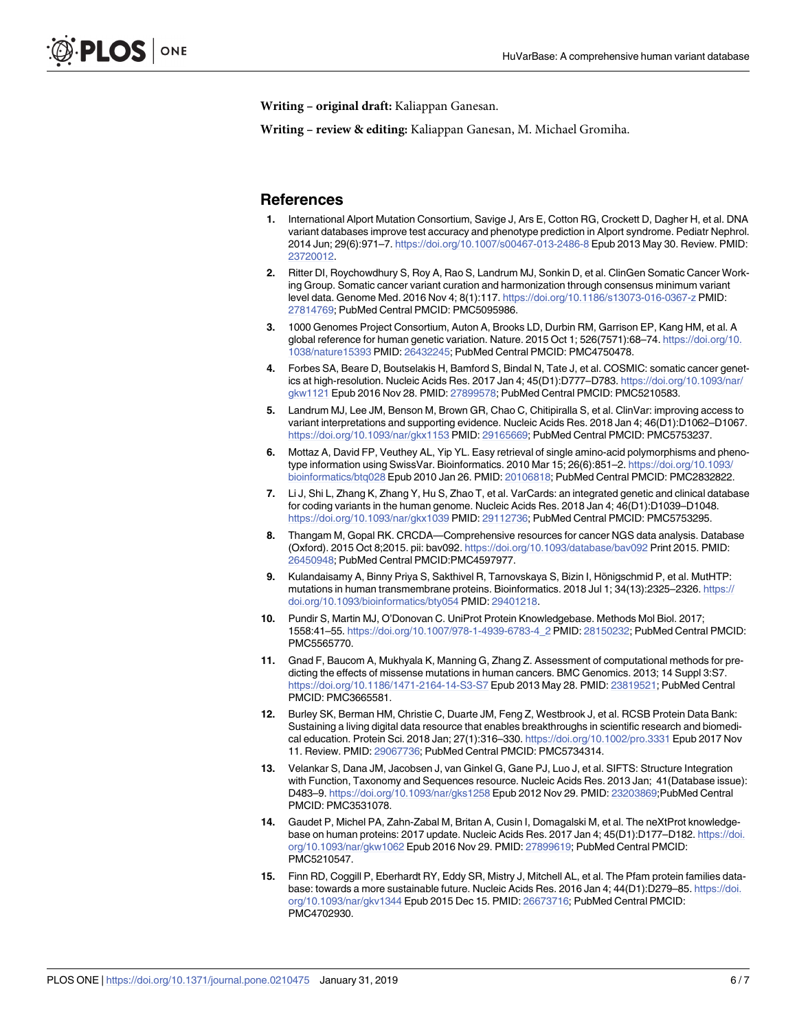<span id="page-5-0"></span>**Writing – original draft:** Kaliappan Ganesan.

**Writing – review & editing:** Kaliappan Ganesan, M. Michael Gromiha.

#### **References**

- **[1](#page-0-0).** International Alport Mutation Consortium, Savige J, Ars E, Cotton RG, Crockett D, Dagher H, et al. DNA variant databases improve test accuracy and phenotype prediction in Alport syndrome. Pediatr Nephrol. 2014 Jun; 29(6):971–7. <https://doi.org/10.1007/s00467-013-2486-8> Epub 2013 May 30. Review. PMID: [23720012](http://www.ncbi.nlm.nih.gov/pubmed/23720012).
- **[2](#page-0-0).** Ritter DI, Roychowdhury S, Roy A, Rao S, Landrum MJ, Sonkin D, et al. ClinGen Somatic Cancer Working Group. Somatic cancer variant curation and harmonization through consensus minimum variant level data. Genome Med. 2016 Nov 4; 8(1):117. <https://doi.org/10.1186/s13073-016-0367-z> PMID: [27814769](http://www.ncbi.nlm.nih.gov/pubmed/27814769); PubMed Central PMCID: PMC5095986.
- **[3](#page-0-0).** 1000 Genomes Project Consortium, Auton A, Brooks LD, Durbin RM, Garrison EP, Kang HM, et al. A global reference for human genetic variation. Nature. 2015 Oct 1; 526(7571):68–74. [https://doi.org/10.](https://doi.org/10.1038/nature15393) [1038/nature15393](https://doi.org/10.1038/nature15393) PMID: [26432245;](http://www.ncbi.nlm.nih.gov/pubmed/26432245) PubMed Central PMCID: PMC4750478.
- **[4](#page-0-0).** Forbes SA, Beare D, Boutselakis H, Bamford S, Bindal N, Tate J, et al. COSMIC: somatic cancer genetics at high-resolution. Nucleic Acids Res. 2017 Jan 4; 45(D1):D777–D783. [https://doi.org/10.1093/nar/](https://doi.org/10.1093/nar/gkw1121) [gkw1121](https://doi.org/10.1093/nar/gkw1121) Epub 2016 Nov 28. PMID: [27899578](http://www.ncbi.nlm.nih.gov/pubmed/27899578); PubMed Central PMCID: PMC5210583.
- **[5](#page-0-0).** Landrum MJ, Lee JM, Benson M, Brown GR, Chao C, Chitipiralla S, et al. ClinVar: improving access to variant interpretations and supporting evidence. Nucleic Acids Res. 2018 Jan 4; 46(D1):D1062–D1067. <https://doi.org/10.1093/nar/gkx1153> PMID: [29165669;](http://www.ncbi.nlm.nih.gov/pubmed/29165669) PubMed Central PMCID: PMC5753237.
- **[6](#page-0-0).** Mottaz A, David FP, Veuthey AL, Yip YL. Easy retrieval of single amino-acid polymorphisms and phenotype information using SwissVar. Bioinformatics. 2010 Mar 15; 26(6):851–2. [https://doi.org/10.1093/](https://doi.org/10.1093/bioinformatics/btq028) [bioinformatics/btq028](https://doi.org/10.1093/bioinformatics/btq028) Epub 2010 Jan 26. PMID: [20106818](http://www.ncbi.nlm.nih.gov/pubmed/20106818); PubMed Central PMCID: PMC2832822.
- **[7](#page-0-0).** Li J, Shi L, Zhang K, Zhang Y, Hu S, Zhao T, et al. VarCards: an integrated genetic and clinical database for coding variants in the human genome. Nucleic Acids Res. 2018 Jan 4; 46(D1):D1039–D1048. <https://doi.org/10.1093/nar/gkx1039> PMID: [29112736;](http://www.ncbi.nlm.nih.gov/pubmed/29112736) PubMed Central PMCID: PMC5753295.
- **[8](#page-0-0).** Thangam M, Gopal RK. CRCDA—Comprehensive resources for cancer NGS data analysis. Database (Oxford). 2015 Oct 8;2015. pii: bav092. <https://doi.org/10.1093/database/bav092> Print 2015. PMID: [26450948](http://www.ncbi.nlm.nih.gov/pubmed/26450948); PubMed Central PMCID:PMC4597977.
- **[9](#page-1-0).** Kulandaisamy A, Binny Priya S, Sakthivel R, Tarnovskaya S, Bizin I, Hönigschmid P, et al. MutHTP: mutations in human transmembrane proteins. Bioinformatics. 2018 Jul 1; 34(13):2325–2326. [https://](https://doi.org/10.1093/bioinformatics/bty054) [doi.org/10.1093/bioinformatics/bty054](https://doi.org/10.1093/bioinformatics/bty054) PMID: [29401218.](http://www.ncbi.nlm.nih.gov/pubmed/29401218)
- **[10](#page-1-0).** Pundir S, Martin MJ, O'Donovan C. UniProt Protein Knowledgebase. Methods Mol Biol. 2017; 1558:41–55. [https://doi.org/10.1007/978-1-4939-6783-4\\_2](https://doi.org/10.1007/978-1-4939-6783-4_2) PMID: [28150232;](http://www.ncbi.nlm.nih.gov/pubmed/28150232) PubMed Central PMCID: PMC5565770.
- **[11](#page-1-0).** Gnad F, Baucom A, Mukhyala K, Manning G, Zhang Z. Assessment of computational methods for predicting the effects of missense mutations in human cancers. BMC Genomics. 2013; 14 Suppl 3:S7. <https://doi.org/10.1186/1471-2164-14-S3-S7> Epub 2013 May 28. PMID: [23819521](http://www.ncbi.nlm.nih.gov/pubmed/23819521); PubMed Central PMCID: PMC3665581.
- **[12](#page-1-0).** Burley SK, Berman HM, Christie C, Duarte JM, Feng Z, Westbrook J, et al. RCSB Protein Data Bank: Sustaining a living digital data resource that enables breakthroughs in scientific research and biomedical education. Protein Sci. 2018 Jan; 27(1):316–330. <https://doi.org/10.1002/pro.3331> Epub 2017 Nov 11. Review. PMID: [29067736;](http://www.ncbi.nlm.nih.gov/pubmed/29067736) PubMed Central PMCID: PMC5734314.
- **[13](#page-1-0).** Velankar S, Dana JM, Jacobsen J, van Ginkel G, Gane PJ, Luo J, et al. SIFTS: Structure Integration with Function, Taxonomy and Sequences resource. Nucleic Acids Res. 2013 Jan; 41(Database issue): D483–9. <https://doi.org/10.1093/nar/gks1258> Epub 2012 Nov 29. PMID: [23203869;](http://www.ncbi.nlm.nih.gov/pubmed/23203869)PubMed Central PMCID: PMC3531078.
- **[14](#page-1-0).** Gaudet P, Michel PA, Zahn-Zabal M, Britan A, Cusin I, Domagalski M, et al. The neXtProt knowledgebase on human proteins: 2017 update. Nucleic Acids Res. 2017 Jan 4; 45(D1):D177–D182. [https://doi.](https://doi.org/10.1093/nar/gkw1062) [org/10.1093/nar/gkw1062](https://doi.org/10.1093/nar/gkw1062) Epub 2016 Nov 29. PMID: [27899619;](http://www.ncbi.nlm.nih.gov/pubmed/27899619) PubMed Central PMCID: PMC5210547.
- **[15](#page-1-0).** Finn RD, Coggill P, Eberhardt RY, Eddy SR, Mistry J, Mitchell AL, et al. The Pfam protein families database: towards a more sustainable future. Nucleic Acids Res. 2016 Jan 4; 44(D1):D279–85. [https://doi.](https://doi.org/10.1093/nar/gkv1344) [org/10.1093/nar/gkv1344](https://doi.org/10.1093/nar/gkv1344) Epub 2015 Dec 15. PMID: [26673716](http://www.ncbi.nlm.nih.gov/pubmed/26673716); PubMed Central PMCID: PMC4702930.